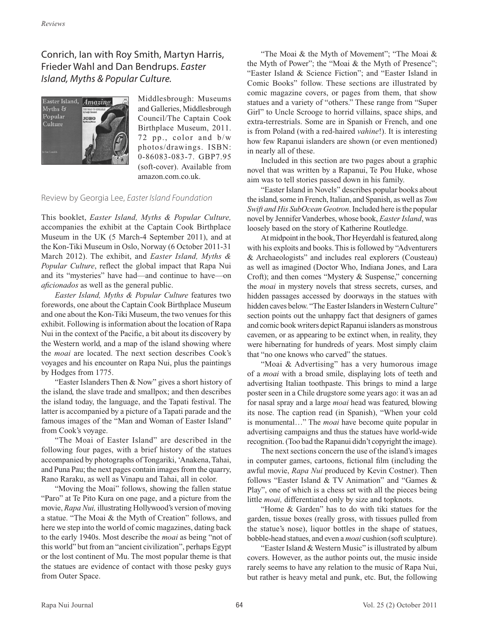## Conrich, Ian with Roy Smith, Martyn Harris, Frieder Wahl and Dan Bendrups. *Easter Island, Myths & Popular Culture.*



Middlesbrough: Museums and Galleries, Middlesbrough Council/The Captain Cook Birthplace Museum, 2011. 72 pp., color and b/w photos/drawings. ISBN: 0-86083-083-7. GBP7.95 (soft-cover). Available from amazon.com.co.uk.

## Review by Georgia Lee, *Easter Island Foundation*

This booklet, *Easter Island, Myths & Popular Culture,* accompanies the exhibit at the Captain Cook Birthplace Museum in the UK (5 March-4 September 2011), and at the Kon-Tiki Museum in Oslo, Norway (6 October 2011-31 March 2012). The exhibit, and *Easter Island, Myths & Popular Culture*, reflect the global impact that Rapa Nui and its "mysteries" have had—and continue to have—on *aficionados* as well as the general public.

*Easter Island, Myths & Popular Culture* features two forewords, one about the Captain Cook Birthplace Museum and one about the Kon-Tiki Museum, the two venues for this exhibit. Following is information about the location of Rapa Nui in the context of the Pacific, a bit about its discovery by the Western world, and a map of the island showing where the *moai* are located. The next section describes Cook's voyages and his encounter on Rapa Nui, plus the paintings by Hodges from 1775.

"Easter Islanders Then & Now" gives a short history of the island, the slave trade and smallpox; and then describes the island today, the language, and the Tapati festival. The latter is accompanied by a picture of a Tapati parade and the famous images of the "Man and Woman of Easter Island" from Cook's voyage.

"The Moai of Easter Island" are described in the following four pages, with a brief history of the statues accompanied by photographs of Tongariki, 'Anakena, Tahai, and Puna Pau; the next pages contain images from the quarry, Rano Raraku, as well as Vinapu and Tahai, all in color.

"Moving the Moai" follows, showing the fallen statue "Paro" at Te Pito Kura on one page, and a picture from the movie, *Rapa Nui,* illustrating Hollywood's version of moving a statue. "The Moai & the Myth of Creation" follows, and here we step into the world of comic magazines, dating back to the early 1940s. Most describe the *moai* as being "not of this world" but from an "ancient civilization", perhaps Egypt or the lost continent of Mu. The most popular theme is that the statues are evidence of contact with those pesky guys from Outer Space.

"The Moai & the Myth of Movement"; "The Moai & the Myth of Power"; the "Moai & the Myth of Presence"; "Easter Island & Science Fiction"; and "Easter Island in Comic Books" follow. These sections are illustrated by comic magazine covers, or pages from them, that show statues and a variety of "others." These range from "Super Girl" to Uncle Scrooge to horrid villains, space ships, and extra-terrestrials. Some are in Spanish or French, and one is from Poland (with a red-haired *vahine*!). It is interesting how few Rapanui islanders are shown (or even mentioned) in nearly all of these.

Included in this section are two pages about a graphic novel that was written by a Rapanui, Te Pou Huke, whose aim was to tell stories passed down in his family.

"Easter Island in Novels" describes popular books about the island, some in French, Italian, and Spanish, as well as *Tom Swift and His SubOcean Geotron*. Included here is the popular novel by Jennifer Vanderbes, whose book, *Easter Island*, was loosely based on the story of Katherine Routledge.

At midpoint in the book, Thor Heyerdahl is featured, along with his exploits and books. This is followed by "Adventurers & Archaeologists" and includes real explorers (Cousteau) as well as imagined (Doctor Who, Indiana Jones, and Lara Croft); and then comes "Mystery & Suspense," concerning the *moai* in mystery novels that stress secrets, curses, and hidden passages accessed by doorways in the statues with hidden caves below. "The Easter Islanders in Western Culture" section points out the unhappy fact that designers of games and comic book writers depict Rapanui islanders as monstrous cavemen, or as appearing to be extinct when, in reality, they were hibernating for hundreds of years. Most simply claim that "no one knows who carved" the statues.

"Moai & Advertising" has a very humorous image of a *moai* with a broad smile, displaying lots of teeth and advertising Italian toothpaste. This brings to mind a large poster seen in a Chile drugstore some years ago: it was an ad for nasal spray and a large *moai* head was featured, blowing its nose. The caption read (in Spanish), "When your cold is monumental…" The *moai* have become quite popular in advertising campaigns and thus the statues have world-wide recognition. (Too bad the Rapanui didn't copyright the image).

The next sections concern the use of the island's images in computer games, cartoons, fictional film (including the awful movie, *Rapa Nui* produced by Kevin Costner). Then follows "Easter Island & TV Animation" and "Games & Play", one of which is a chess set with all the pieces being little *moai,* differentiated only by size and topknots.

"Home & Garden" has to do with tiki statues for the garden, tissue boxes (really gross, with tissues pulled from the statue's nose), liquor bottles in the shape of statues, bobble-head statues, and even a *moai* cushion (soft sculpture).

"Easter Island & Western Music" is illustrated by album covers. However, as the author points out, the music inside rarely seems to have any relation to the music of Rapa Nui, but rather is heavy metal and punk, etc. But, the following